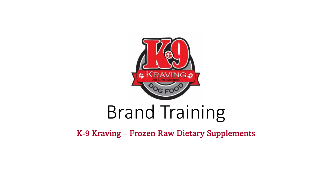

# Brand Training

K-9 Kraving – Frozen Raw Dietary Supplements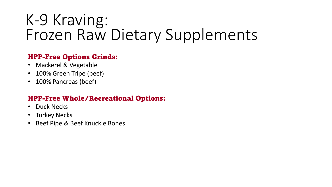#### HPP-Free Options Grinds:

- Mackerel & Vegetable
- 100% Green Tripe (beef)
- 100% Pancreas (beef)

### HPP-Free Whole/Recreational Options:

- Duck Necks
- Turkey Necks
- Beef Pipe & Beef Knuckle Bones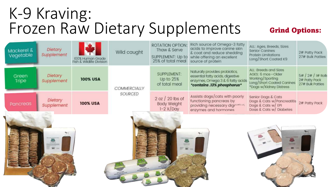# K-9 Kraving: Frozen Raw Dietary Supplements Grind Options:

| Mackerel &<br>Vegetable | Dietary<br>Supplement | 100% Human Grade<br>Fish & Wildlife Division | Wild caught         | ROTATION OPTION:<br>Thaw & Serve<br>SUPPLEMENT: Up to<br>25% of total meal | Rich source of Omega-3 fatty<br>acids to improve canine skin<br>& coat and reduce shedding<br>while offering an excellent<br>source of protein | ALL: Ages, Breeds, Sizes<br><b>Senior Canines</b><br>Protein Limitations<br>Long/Short Coated K9                       | 2# Patty Pack<br>27# Bulk Patties                       |
|-------------------------|-----------------------|----------------------------------------------|---------------------|----------------------------------------------------------------------------|------------------------------------------------------------------------------------------------------------------------------------------------|------------------------------------------------------------------------------------------------------------------------|---------------------------------------------------------|
| Green<br><b>Tripe</b>   | Dietary<br>Supplement | <b>100% USA</b>                              | <b>COMMERCIALLY</b> | SUPPLEMENT:<br>Up to 25%<br>of total meal                                  | Naturally provides probiotics,<br>essential fatty acids, digestive<br>enzymes, Omega 3 & 6 fatty acids<br>*contains.13% phosphorus*            | ALL: Breeds and Sizes<br>AGES: 6 mos-Older<br>Working/Sporting<br>Long/Short Coated Canines<br>*Dogs w/Kidney Distress | 5# / 2# / 1# Rolls<br>2# Patty Pack<br>27# Bulk Patties |
| Pancreas                | Dietary<br>Supplement | <b>100% USA</b>                              | SOURCED             | $2 oz / 20$ lbs of<br><b>Body Weight</b><br>$1-2 \times$ Day               | Assists dogs/cats with poorly<br>functioning pancreas by<br>providing necessary digestive<br>enzymes and hormones                              | Senior Dogs & Cats<br>Dogs & Cats w/Pancreatitis<br>Dogs & Cats w/ EPI<br>Dogs & Cats w/ Diabetes                      | 2# Patty Pack                                           |
|                         |                       |                                              |                     | <b>FITH TURKLEYS THEME</b><br><b>ESSAYS</b><br>三 章                         |                                                                                                                                                | <b>THE PROPERTY</b>                                                                                                    |                                                         |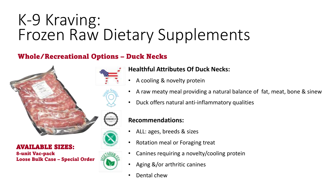### Whole/Recreational Options – Duck Necks



#### AVAILABLE SIZES:

8-unit Vac-pack Loose Bulk Case – Special Order



### **Healthful Attributes Of Duck Necks:**

- A cooling & novelty protein
- A raw meaty meal providing a natural balance of fat, meat, bone & sinew
- Duck offers natural anti-inflammatory qualities

#### **Recommendations:**

- ALL: ages, breeds & sizes
- Rotation meal or Foraging treat
- Canines requiring a novelty/cooling protein
- Aging &/or arthritic canines
- Dental chew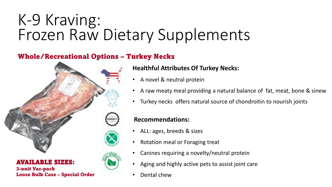### Whole/Recreational Options – Turkey Necks



AVAILABLE SIZES: 3-unit Vac-pack

Loose Bulk Case – Special Order

#### **Healthful Attributes Of Turkey Necks:**

- A novel & neutral protein
- A raw meaty meal providing a natural balance of fat, meat, bone & sinew
- Turkey necks offers natural source of chondroitin to nourish joints

#### **Recommendations:**

- ALL: ages, breeds & sizes
- Rotation meal or Foraging treat
- Canines requiring a novelty/neutral protein
- Aging and highly active pets to assist joint care
- Dental chew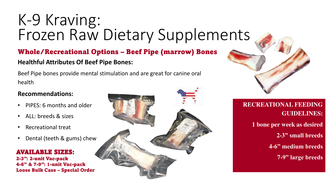## Whole/Recreational Options – Beef Pipe (marrow) Bones **Healthful Attributes Of Beef Pipe Bones:**

Beef Pipe bones provide mental stimulation and are great for canine oral health

#### **Recommendations:**

- PIPES: 6 months and older
- ALL: breeds & sizes
- Recreational treat
- Dental (teeth & gums) chew

#### AVAILABLE SIZES:

2-3": 2-unit Vac-pack 4-6" & 7-9": 1-unit Vac-pack Loose Bulk Case – Special Order





### **RECREATIONAL FEEDING GUIDELINES:**

**1 bone per week as desired 2-3" small breeds 4-6" medium breeds 7-9" large breeds**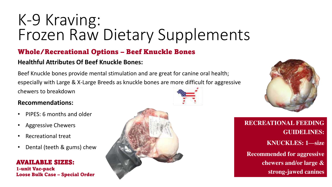### Whole/Recreational Options – Beef Knuckle Bones

#### **Healthful Attributes Of Beef Knuckle Bones:**

Beef Knuckle bones provide mental stimulation and are great for canine oral health; especially with Large & X-Large Breeds as knuckle bones are more difficult for aggressive chewers to breakdown

#### **Recommendations:**

- PIPES: 6 months and older
- Aggressive Chewers
- Recreational treat
- Dental (teeth & gums) chew

#### AVAILABLE SIZES:

1-unit Vac-pack Loose Bulk Case – Special Order





**RECREATIONAL FEEDING GUIDELINES: KNUCKLES: 1—size Recommended for aggressive chewers and/or large & strong-jawed canines**